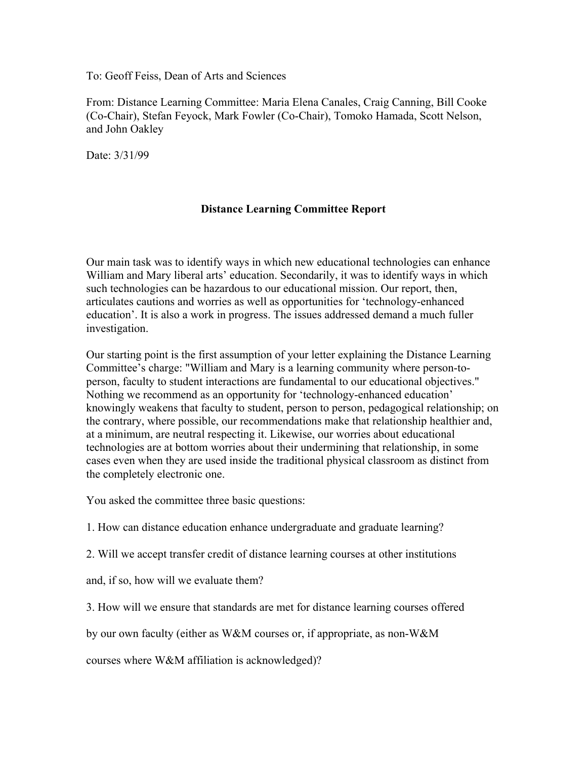To: Geoff Feiss, Dean of Arts and Sciences

From: Distance Learning Committee: Maria Elena Canales, Craig Canning, Bill Cooke (Co-Chair), Stefan Feyock, Mark Fowler (Co-Chair), Tomoko Hamada, Scott Nelson, and John Oakley

Date: 3/31/99

# **Distance Learning Committee Report**

Our main task was to identify ways in which new educational technologies can enhance William and Mary liberal arts' education. Secondarily, it was to identify ways in which such technologies can be hazardous to our educational mission. Our report, then, articulates cautions and worries as well as opportunities for 'technology-enhanced education'. It is also a work in progress. The issues addressed demand a much fuller investigation.

Our starting point is the first assumption of your letter explaining the Distance Learning Committee's charge: "William and Mary is a learning community where person-toperson, faculty to student interactions are fundamental to our educational objectives." Nothing we recommend as an opportunity for 'technology-enhanced education' knowingly weakens that faculty to student, person to person, pedagogical relationship; on the contrary, where possible, our recommendations make that relationship healthier and, at a minimum, are neutral respecting it. Likewise, our worries about educational technologies are at bottom worries about their undermining that relationship, in some cases even when they are used inside the traditional physical classroom as distinct from the completely electronic one.

You asked the committee three basic questions:

1. How can distance education enhance undergraduate and graduate learning?

2. Will we accept transfer credit of distance learning courses at other institutions

and, if so, how will we evaluate them?

3. How will we ensure that standards are met for distance learning courses offered

by our own faculty (either as W&M courses or, if appropriate, as non-W&M

courses where W&M affiliation is acknowledged)?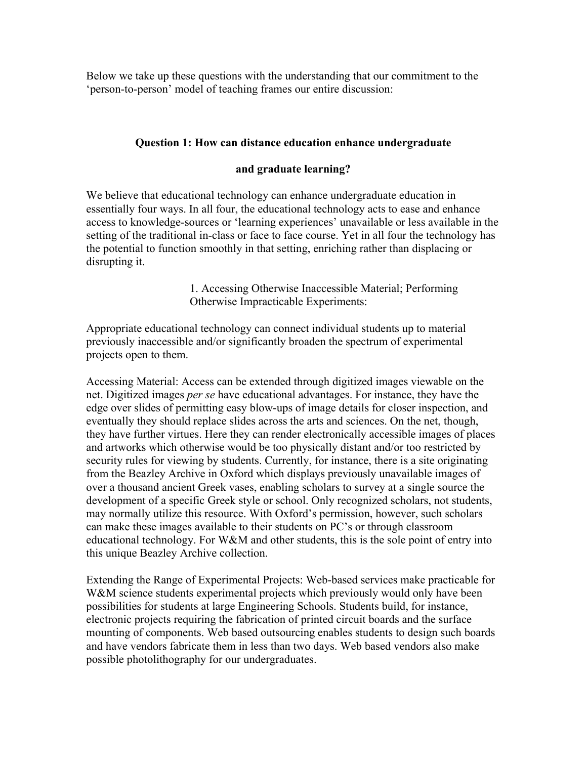Below we take up these questions with the understanding that our commitment to the 'person-to-person' model of teaching frames our entire discussion:

# **Question 1: How can distance education enhance undergraduate**

## **and graduate learning?**

We believe that educational technology can enhance undergraduate education in essentially four ways. In all four, the educational technology acts to ease and enhance access to knowledge-sources or 'learning experiences' unavailable or less available in the setting of the traditional in-class or face to face course. Yet in all four the technology has the potential to function smoothly in that setting, enriching rather than displacing or disrupting it.

> 1. Accessing Otherwise Inaccessible Material; Performing Otherwise Impracticable Experiments:

Appropriate educational technology can connect individual students up to material previously inaccessible and/or significantly broaden the spectrum of experimental projects open to them.

Accessing Material: Access can be extended through digitized images viewable on the net. Digitized images *per se* have educational advantages. For instance, they have the edge over slides of permitting easy blow-ups of image details for closer inspection, and eventually they should replace slides across the arts and sciences. On the net, though, they have further virtues. Here they can render electronically accessible images of places and artworks which otherwise would be too physically distant and/or too restricted by security rules for viewing by students. Currently, for instance, there is a site originating from the Beazley Archive in Oxford which displays previously unavailable images of over a thousand ancient Greek vases, enabling scholars to survey at a single source the development of a specific Greek style or school. Only recognized scholars, not students, may normally utilize this resource. With Oxford's permission, however, such scholars can make these images available to their students on PC's or through classroom educational technology. For W&M and other students, this is the sole point of entry into this unique Beazley Archive collection.

Extending the Range of Experimental Projects: Web-based services make practicable for W&M science students experimental projects which previously would only have been possibilities for students at large Engineering Schools. Students build, for instance, electronic projects requiring the fabrication of printed circuit boards and the surface mounting of components. Web based outsourcing enables students to design such boards and have vendors fabricate them in less than two days. Web based vendors also make possible photolithography for our undergraduates.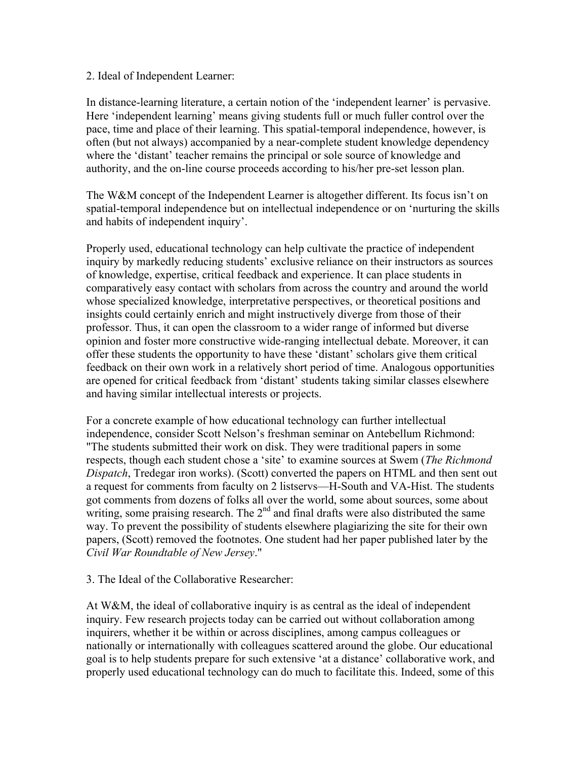## 2. Ideal of Independent Learner:

In distance-learning literature, a certain notion of the 'independent learner' is pervasive. Here 'independent learning' means giving students full or much fuller control over the pace, time and place of their learning. This spatial-temporal independence, however, is often (but not always) accompanied by a near-complete student knowledge dependency where the 'distant' teacher remains the principal or sole source of knowledge and authority, and the on-line course proceeds according to his/her pre-set lesson plan.

The W&M concept of the Independent Learner is altogether different. Its focus isn't on spatial-temporal independence but on intellectual independence or on 'nurturing the skills and habits of independent inquiry'.

Properly used, educational technology can help cultivate the practice of independent inquiry by markedly reducing students' exclusive reliance on their instructors as sources of knowledge, expertise, critical feedback and experience. It can place students in comparatively easy contact with scholars from across the country and around the world whose specialized knowledge, interpretative perspectives, or theoretical positions and insights could certainly enrich and might instructively diverge from those of their professor. Thus, it can open the classroom to a wider range of informed but diverse opinion and foster more constructive wide-ranging intellectual debate. Moreover, it can offer these students the opportunity to have these 'distant' scholars give them critical feedback on their own work in a relatively short period of time. Analogous opportunities are opened for critical feedback from 'distant' students taking similar classes elsewhere and having similar intellectual interests or projects.

For a concrete example of how educational technology can further intellectual independence, consider Scott Nelson's freshman seminar on Antebellum Richmond: "The students submitted their work on disk. They were traditional papers in some respects, though each student chose a 'site' to examine sources at Swem (*The Richmond Dispatch*, Tredegar iron works). (Scott) converted the papers on HTML and then sent out a request for comments from faculty on 2 listservs—H-South and VA-Hist. The students got comments from dozens of folks all over the world, some about sources, some about writing, some praising research. The  $2<sup>nd</sup>$  and final drafts were also distributed the same way. To prevent the possibility of students elsewhere plagiarizing the site for their own papers, (Scott) removed the footnotes. One student had her paper published later by the *Civil War Roundtable of New Jersey*."

3. The Ideal of the Collaborative Researcher:

At W&M, the ideal of collaborative inquiry is as central as the ideal of independent inquiry. Few research projects today can be carried out without collaboration among inquirers, whether it be within or across disciplines, among campus colleagues or nationally or internationally with colleagues scattered around the globe. Our educational goal is to help students prepare for such extensive 'at a distance' collaborative work, and properly used educational technology can do much to facilitate this. Indeed, some of this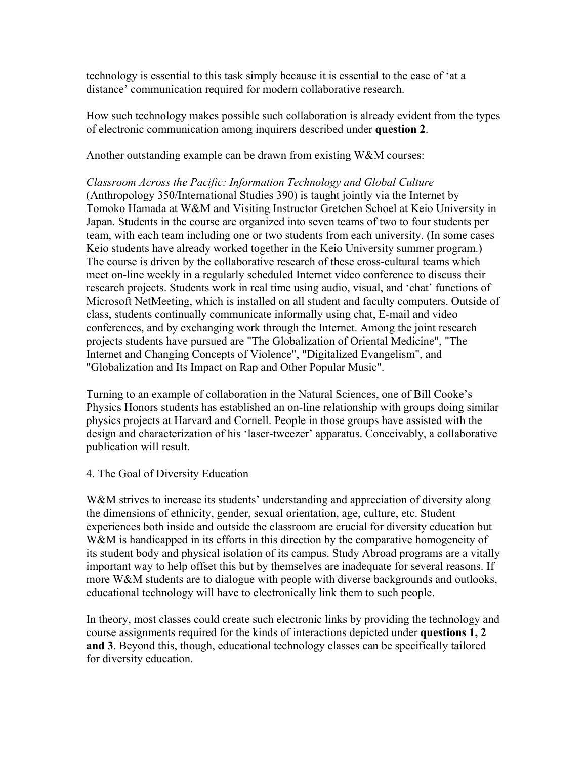technology is essential to this task simply because it is essential to the ease of 'at a distance' communication required for modern collaborative research.

How such technology makes possible such collaboration is already evident from the types of electronic communication among inquirers described under **question 2**.

Another outstanding example can be drawn from existing W&M courses:

*Classroom Across the Pacific: Information Technology and Global Culture*  (Anthropology 350/International Studies 390) is taught jointly via the Internet by Tomoko Hamada at W&M and Visiting Instructor Gretchen Schoel at Keio University in Japan. Students in the course are organized into seven teams of two to four students per team, with each team including one or two students from each university. (In some cases Keio students have already worked together in the Keio University summer program.) The course is driven by the collaborative research of these cross-cultural teams which meet on-line weekly in a regularly scheduled Internet video conference to discuss their research projects. Students work in real time using audio, visual, and 'chat' functions of Microsoft NetMeeting, which is installed on all student and faculty computers. Outside of class, students continually communicate informally using chat, E-mail and video conferences, and by exchanging work through the Internet. Among the joint research projects students have pursued are "The Globalization of Oriental Medicine", "The Internet and Changing Concepts of Violence", "Digitalized Evangelism", and "Globalization and Its Impact on Rap and Other Popular Music".

Turning to an example of collaboration in the Natural Sciences, one of Bill Cooke's Physics Honors students has established an on-line relationship with groups doing similar physics projects at Harvard and Cornell. People in those groups have assisted with the design and characterization of his 'laser-tweezer' apparatus. Conceivably, a collaborative publication will result.

## 4. The Goal of Diversity Education

W&M strives to increase its students' understanding and appreciation of diversity along the dimensions of ethnicity, gender, sexual orientation, age, culture, etc. Student experiences both inside and outside the classroom are crucial for diversity education but W&M is handicapped in its efforts in this direction by the comparative homogeneity of its student body and physical isolation of its campus. Study Abroad programs are a vitally important way to help offset this but by themselves are inadequate for several reasons. If more W&M students are to dialogue with people with diverse backgrounds and outlooks, educational technology will have to electronically link them to such people.

In theory, most classes could create such electronic links by providing the technology and course assignments required for the kinds of interactions depicted under **questions 1, 2 and 3**. Beyond this, though, educational technology classes can be specifically tailored for diversity education.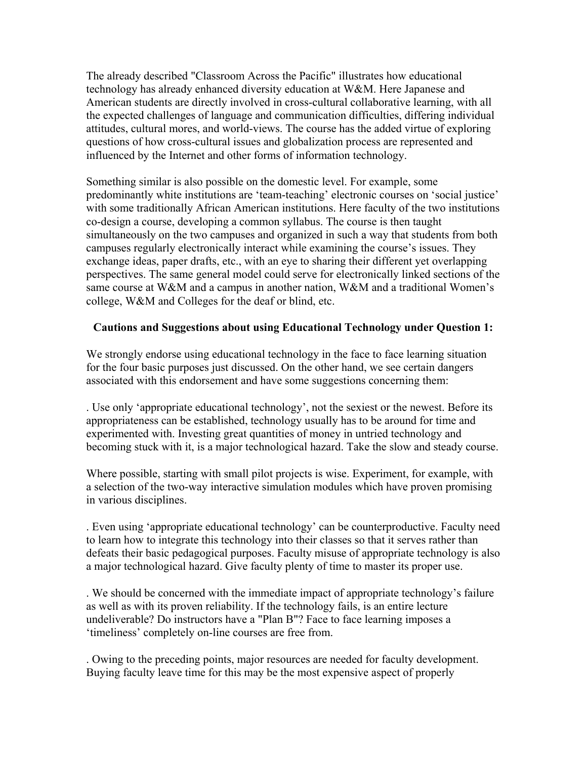The already described "Classroom Across the Pacific" illustrates how educational technology has already enhanced diversity education at W&M. Here Japanese and American students are directly involved in cross-cultural collaborative learning, with all the expected challenges of language and communication difficulties, differing individual attitudes, cultural mores, and world-views. The course has the added virtue of exploring questions of how cross-cultural issues and globalization process are represented and influenced by the Internet and other forms of information technology.

Something similar is also possible on the domestic level. For example, some predominantly white institutions are 'team-teaching' electronic courses on 'social justice' with some traditionally African American institutions. Here faculty of the two institutions co-design a course, developing a common syllabus. The course is then taught simultaneously on the two campuses and organized in such a way that students from both campuses regularly electronically interact while examining the course's issues. They exchange ideas, paper drafts, etc., with an eye to sharing their different yet overlapping perspectives. The same general model could serve for electronically linked sections of the same course at W&M and a campus in another nation, W&M and a traditional Women's college, W&M and Colleges for the deaf or blind, etc.

# **Cautions and Suggestions about using Educational Technology under Question 1:**

We strongly endorse using educational technology in the face to face learning situation for the four basic purposes just discussed. On the other hand, we see certain dangers associated with this endorsement and have some suggestions concerning them:

. Use only 'appropriate educational technology', not the sexiest or the newest. Before its appropriateness can be established, technology usually has to be around for time and experimented with. Investing great quantities of money in untried technology and becoming stuck with it, is a major technological hazard. Take the slow and steady course.

Where possible, starting with small pilot projects is wise. Experiment, for example, with a selection of the two-way interactive simulation modules which have proven promising in various disciplines.

. Even using 'appropriate educational technology' can be counterproductive. Faculty need to learn how to integrate this technology into their classes so that it serves rather than defeats their basic pedagogical purposes. Faculty misuse of appropriate technology is also a major technological hazard. Give faculty plenty of time to master its proper use.

. We should be concerned with the immediate impact of appropriate technology's failure as well as with its proven reliability. If the technology fails, is an entire lecture undeliverable? Do instructors have a "Plan B"? Face to face learning imposes a 'timeliness' completely on-line courses are free from.

. Owing to the preceding points, major resources are needed for faculty development. Buying faculty leave time for this may be the most expensive aspect of properly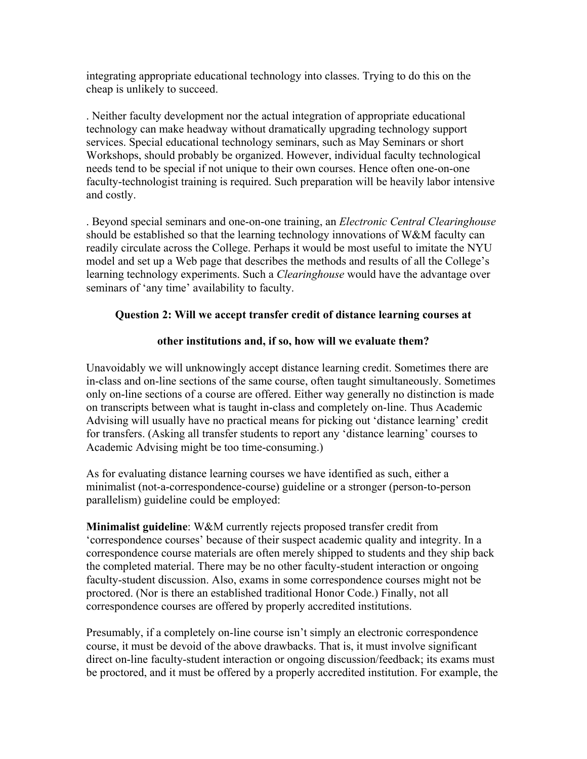integrating appropriate educational technology into classes. Trying to do this on the cheap is unlikely to succeed.

. Neither faculty development nor the actual integration of appropriate educational technology can make headway without dramatically upgrading technology support services. Special educational technology seminars, such as May Seminars or short Workshops, should probably be organized. However, individual faculty technological needs tend to be special if not unique to their own courses. Hence often one-on-one faculty-technologist training is required. Such preparation will be heavily labor intensive and costly.

. Beyond special seminars and one-on-one training, an *Electronic Central Clearinghouse* should be established so that the learning technology innovations of W&M faculty can readily circulate across the College. Perhaps it would be most useful to imitate the NYU model and set up a Web page that describes the methods and results of all the College's learning technology experiments. Such a *Clearinghouse* would have the advantage over seminars of 'any time' availability to faculty.

# **Question 2: Will we accept transfer credit of distance learning courses at**

# **other institutions and, if so, how will we evaluate them?**

Unavoidably we will unknowingly accept distance learning credit. Sometimes there are in-class and on-line sections of the same course, often taught simultaneously. Sometimes only on-line sections of a course are offered. Either way generally no distinction is made on transcripts between what is taught in-class and completely on-line. Thus Academic Advising will usually have no practical means for picking out 'distance learning' credit for transfers. (Asking all transfer students to report any 'distance learning' courses to Academic Advising might be too time-consuming.)

As for evaluating distance learning courses we have identified as such, either a minimalist (not-a-correspondence-course) guideline or a stronger (person-to-person parallelism) guideline could be employed:

**Minimalist guideline**: W&M currently rejects proposed transfer credit from 'correspondence courses' because of their suspect academic quality and integrity. In a correspondence course materials are often merely shipped to students and they ship back the completed material. There may be no other faculty-student interaction or ongoing faculty-student discussion. Also, exams in some correspondence courses might not be proctored. (Nor is there an established traditional Honor Code.) Finally, not all correspondence courses are offered by properly accredited institutions.

Presumably, if a completely on-line course isn't simply an electronic correspondence course, it must be devoid of the above drawbacks. That is, it must involve significant direct on-line faculty-student interaction or ongoing discussion/feedback; its exams must be proctored, and it must be offered by a properly accredited institution. For example, the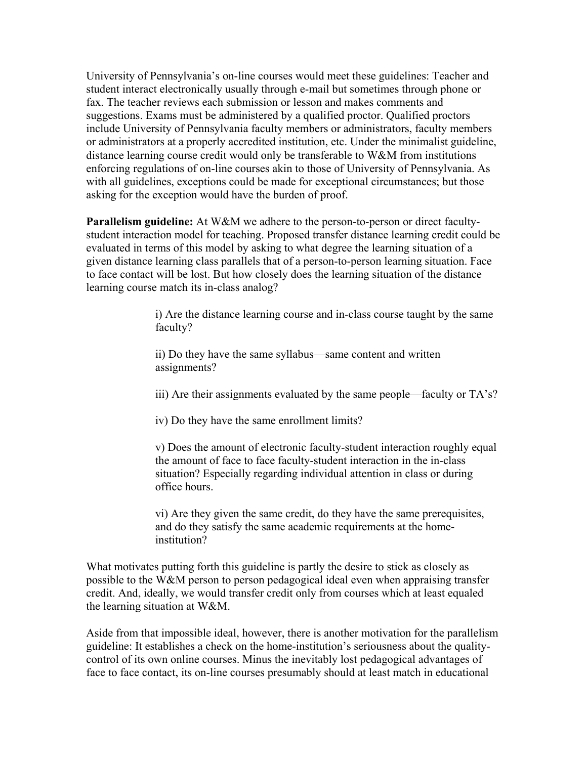University of Pennsylvania's on-line courses would meet these guidelines: Teacher and student interact electronically usually through e-mail but sometimes through phone or fax. The teacher reviews each submission or lesson and makes comments and suggestions. Exams must be administered by a qualified proctor. Qualified proctors include University of Pennsylvania faculty members or administrators, faculty members or administrators at a properly accredited institution, etc. Under the minimalist guideline, distance learning course credit would only be transferable to W&M from institutions enforcing regulations of on-line courses akin to those of University of Pennsylvania. As with all guidelines, exceptions could be made for exceptional circumstances; but those asking for the exception would have the burden of proof.

**Parallelism guideline:** At W&M we adhere to the person-to-person or direct facultystudent interaction model for teaching. Proposed transfer distance learning credit could be evaluated in terms of this model by asking to what degree the learning situation of a given distance learning class parallels that of a person-to-person learning situation. Face to face contact will be lost. But how closely does the learning situation of the distance learning course match its in-class analog?

> i) Are the distance learning course and in-class course taught by the same faculty?

ii) Do they have the same syllabus—same content and written assignments?

iii) Are their assignments evaluated by the same people—faculty or TA's?

iv) Do they have the same enrollment limits?

v) Does the amount of electronic faculty-student interaction roughly equal the amount of face to face faculty-student interaction in the in-class situation? Especially regarding individual attention in class or during office hours.

vi) Are they given the same credit, do they have the same prerequisites, and do they satisfy the same academic requirements at the homeinstitution?

What motivates putting forth this guideline is partly the desire to stick as closely as possible to the W&M person to person pedagogical ideal even when appraising transfer credit. And, ideally, we would transfer credit only from courses which at least equaled the learning situation at W&M.

Aside from that impossible ideal, however, there is another motivation for the parallelism guideline: It establishes a check on the home-institution's seriousness about the qualitycontrol of its own online courses. Minus the inevitably lost pedagogical advantages of face to face contact, its on-line courses presumably should at least match in educational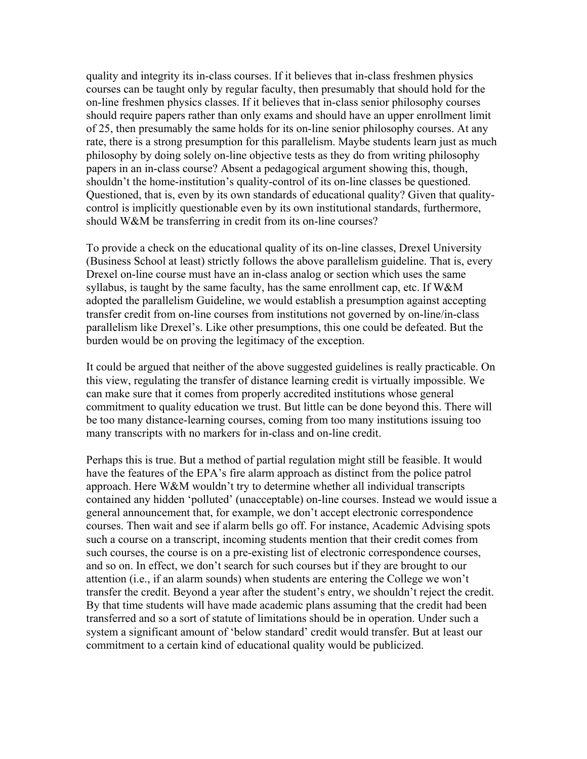quality and integrity its in-class courses. If it believes that in-class freshmen physics courses can be taught only by regular faculty, then presumably that should hold for the on-line freshmen physics classes. If it believes that in-class senior philosophy courses should require papers rather than only exams and should have an upper enrollment limit of 25, then presumably the same holds for its on-line senior philosophy courses. At any rate, there is a strong presumption for this parallelism. Maybe students learn just as much philosophy by doing solely on-line objective tests as they do from writing philosophy papers in an in-class course? Absent a pedagogical argument showing this, though, shouldn't the home-institution's quality-control of its on-line classes be questioned. Questioned, that is, even by its own standards of educational quality? Given that qualitycontrol is implicitly questionable even by its own institutional standards, furthermore, should W&M be transferring in credit from its on-line courses?

To provide a check on the educational quality of its on-line classes, Drexel University (Business School at least) strictly follows the above parallelism guideline. That is, every Drexel on-line course must have an in-class analog or section which uses the same syllabus, is taught by the same faculty, has the same enrollment cap, etc. If  $W\&M$ adopted the parallelism Guideline, we would establish a presumption against accepting transfer credit from on-line courses from institutions not governed by on-line/in-class parallelism like Drexel's. Like other presumptions, this one could be defeated. But the burden would be on proving the legitimacy of the exception.

It could be argued that neither of the above suggested guidelines is really practicable. On this view, regulating the transfer of distance learning credit is virtually impossible. We can make sure that it comes from properly accredited institutions whose general commitment to quality education we trust. But little can be done beyond this. There will be too many distance-learning courses, coming from too many institutions issuing too many transcripts with no markers for in-class and on-line credit.

Perhaps this is true. But a method of partial regulation might still be feasible. It would have the features of the EPA's fire alarm approach as distinct from the police patrol approach. Here W&M wouldn't try to determine whether all individual transcripts contained any hidden 'polluted' (unacceptable) on-line courses. Instead we would issue a general announcement that, for example, we don't accept electronic correspondence courses. Then wait and see if alarm bells go off. For instance, Academic Advising spots such a course on a transcript, incoming students mention that their credit comes from such courses, the course is on a pre-existing list of electronic correspondence courses, and so on. In effect, we don't search for such courses but if they are brought to our attention (i.e., if an alarm sounds) when students are entering the College we won't transfer the credit. Beyond a year after the student's entry, we shouldn't reject the credit. By that time students will have made academic plans assuming that the credit had been transferred and so a sort of statute of limitations should be in operation. Under such a system a significant amount of 'below standard' credit would transfer. But at least our commitment to a certain kind of educational quality would be publicized.